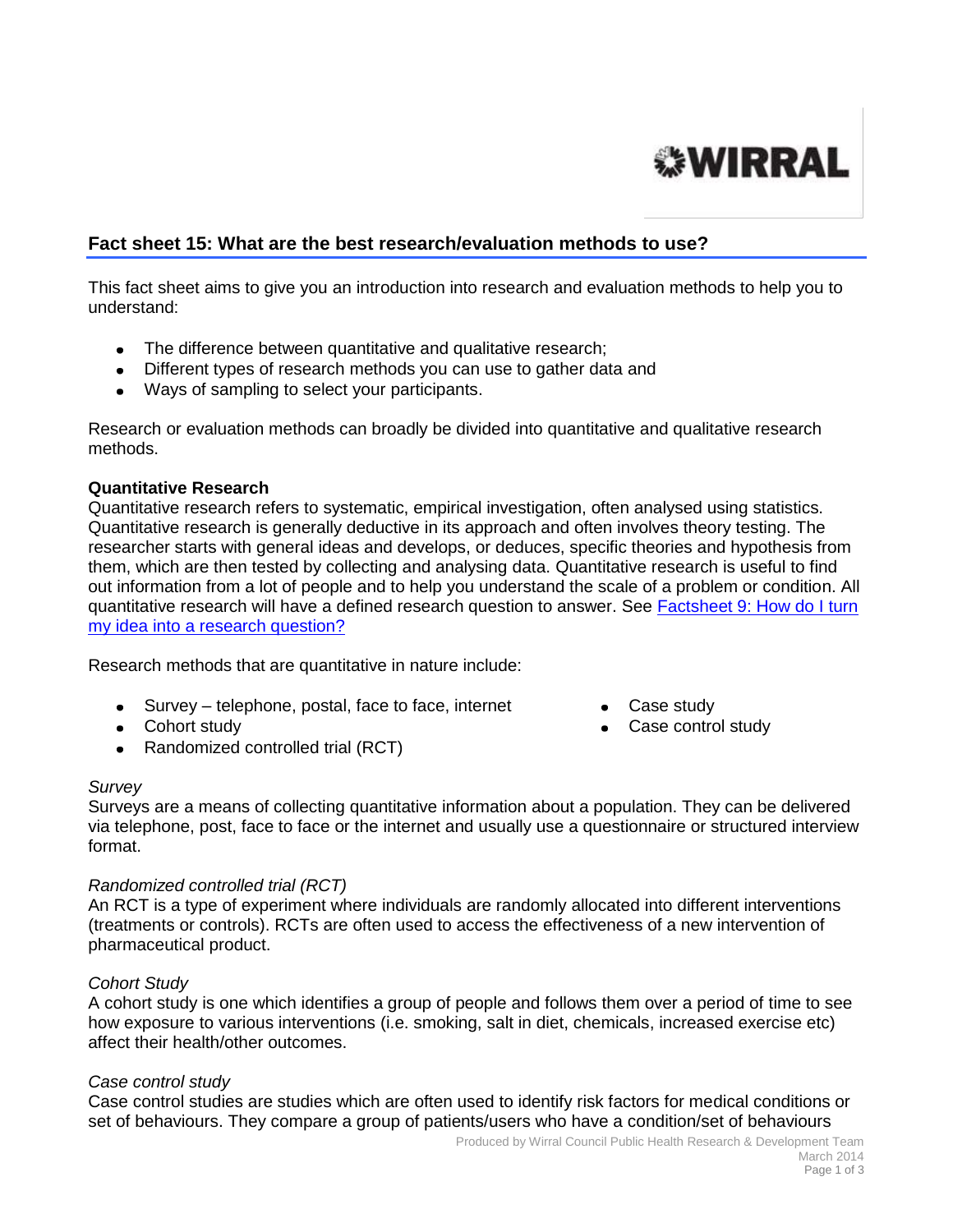# **WIRRAL**

# **Fact sheet 15: What are the best research/evaluation methods to use?**

This fact sheet aims to give you an introduction into research and evaluation methods to help you to understand:

- The difference between quantitative and qualitative research;
- Different types of research methods you can use to gather data and
- Ways of sampling to select your participants.

Research or evaluation methods can broadly be divided into quantitative and qualitative research methods.

# **Quantitative Research**

Quantitative research refers to systematic, empirical investigation, often analysed using statistics. Quantitative research is generally deductive in its approach and often involves theory testing. The researcher starts with general ideas and develops, or deduces, specific theories and hypothesis from them, which are then tested by collecting and analysing data. Quantitative research is useful to find out information from a lot of people and to help you understand the scale of a problem or condition. All quantitative research will have a defined research question to answer. See [Factsheet 9: How do I turn](http://info.wirral.nhs.uk/intelligencehub/howtofact-sheetsonevidence&research.html)  [my idea into a research question?](http://info.wirral.nhs.uk/intelligencehub/howtofact-sheetsonevidence&research.html)

Research methods that are quantitative in nature include:

- Survey telephone, postal, face to face, internet Case study
- Cohort study **Case control study Case control study**
- Randomized controlled trial (RCT)

#### *Survey*

Surveys are a means of collecting quantitative information about a population. They can be delivered via telephone, post, face to face or the internet and usually use a questionnaire or structured interview format.

# *Randomized controlled trial (RCT)*

An RCT is a type of experiment where individuals are randomly allocated into different interventions (treatments or controls). RCTs are often used to access the effectiveness of a new intervention of pharmaceutical product.

# *Cohort Study*

A cohort study is one which identifies a group of people and follows them over a period of time to see how exposure to various interventions (i.e. smoking, salt in diet, chemicals, increased exercise etc) affect their health/other outcomes.

#### *Case control study*

Case control studies are studies which are often used to identify risk factors for medical conditions or set of behaviours. They compare a group of patients/users who have a condition/set of behaviours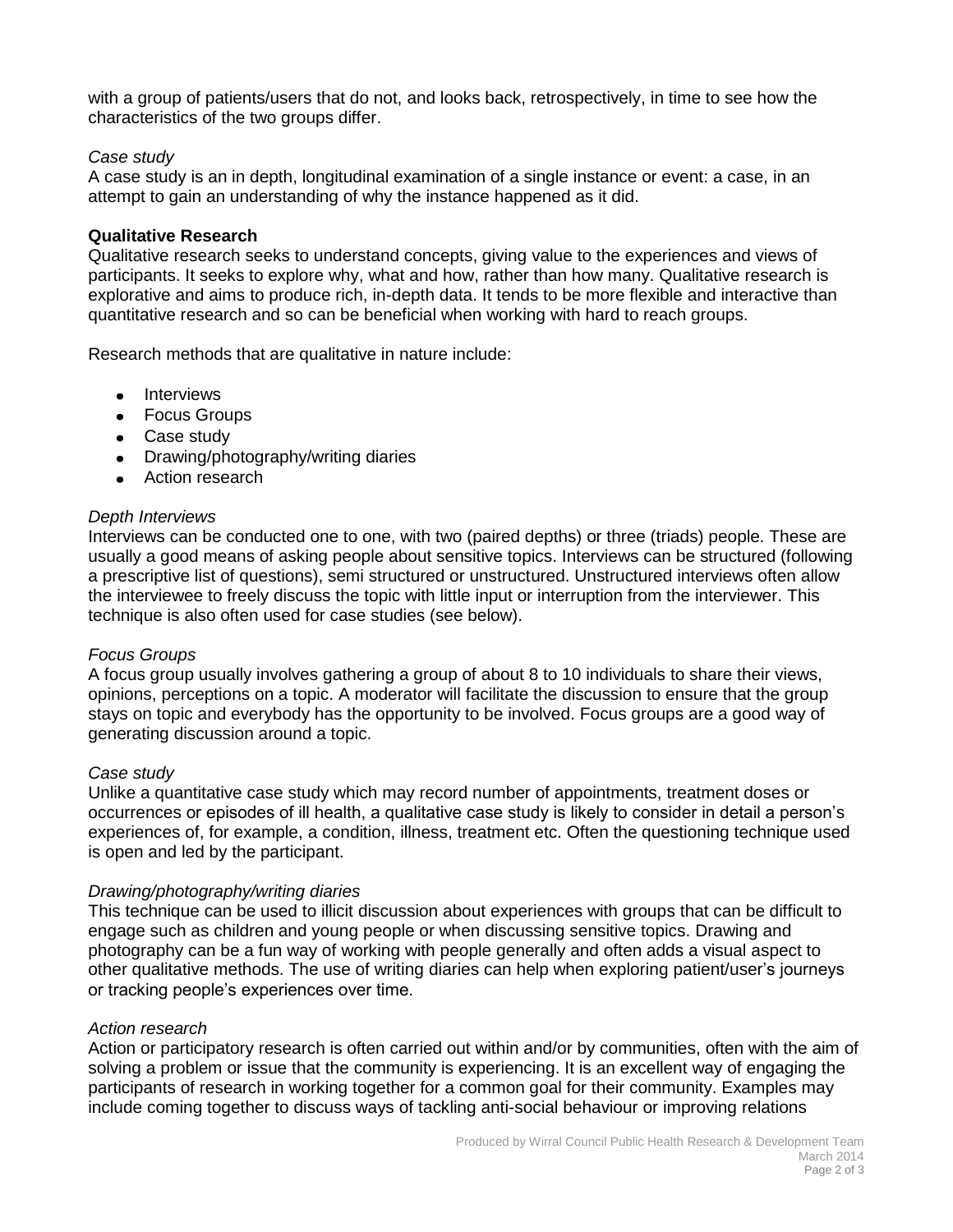with a group of patients/users that do not, and looks back, retrospectively, in time to see how the characteristics of the two groups differ.

### *Case study*

A case study is an in depth, longitudinal examination of a single instance or event: a case, in an attempt to gain an understanding of why the instance happened as it did.

#### **Qualitative Research**

Qualitative research seeks to understand concepts, giving value to the experiences and views of participants. It seeks to explore why, what and how, rather than how many. Qualitative research is explorative and aims to produce rich, in-depth data. It tends to be more flexible and interactive than quantitative research and so can be beneficial when working with hard to reach groups.

Research methods that are qualitative in nature include:

- Interviews
- Focus Groups
- Case study
- Drawing/photography/writing diaries
- Action research

#### *Depth Interviews*

Interviews can be conducted one to one, with two (paired depths) or three (triads) people. These are usually a good means of asking people about sensitive topics. Interviews can be structured (following a prescriptive list of questions), semi structured or unstructured. Unstructured interviews often allow the interviewee to freely discuss the topic with little input or interruption from the interviewer. This technique is also often used for case studies (see below).

#### *Focus Groups*

A focus group usually involves gathering a group of about 8 to 10 individuals to share their views, opinions, perceptions on a topic. A moderator will facilitate the discussion to ensure that the group stays on topic and everybody has the opportunity to be involved. Focus groups are a good way of generating discussion around a topic.

#### *Case study*

Unlike a quantitative case study which may record number of appointments, treatment doses or occurrences or episodes of ill health, a qualitative case study is likely to consider in detail a person's experiences of, for example, a condition, illness, treatment etc. Often the questioning technique used is open and led by the participant.

#### *Drawing/photography/writing diaries*

This technique can be used to illicit discussion about experiences with groups that can be difficult to engage such as children and young people or when discussing sensitive topics. Drawing and photography can be a fun way of working with people generally and often adds a visual aspect to other qualitative methods. The use of writing diaries can help when exploring patient/user's journeys or tracking people's experiences over time.

#### *Action research*

Action or participatory research is often carried out within and/or by communities, often with the aim of solving a problem or issue that the community is experiencing. It is an excellent way of engaging the participants of research in working together for a common goal for their community. Examples may include coming together to discuss ways of tackling anti-social behaviour or improving relations